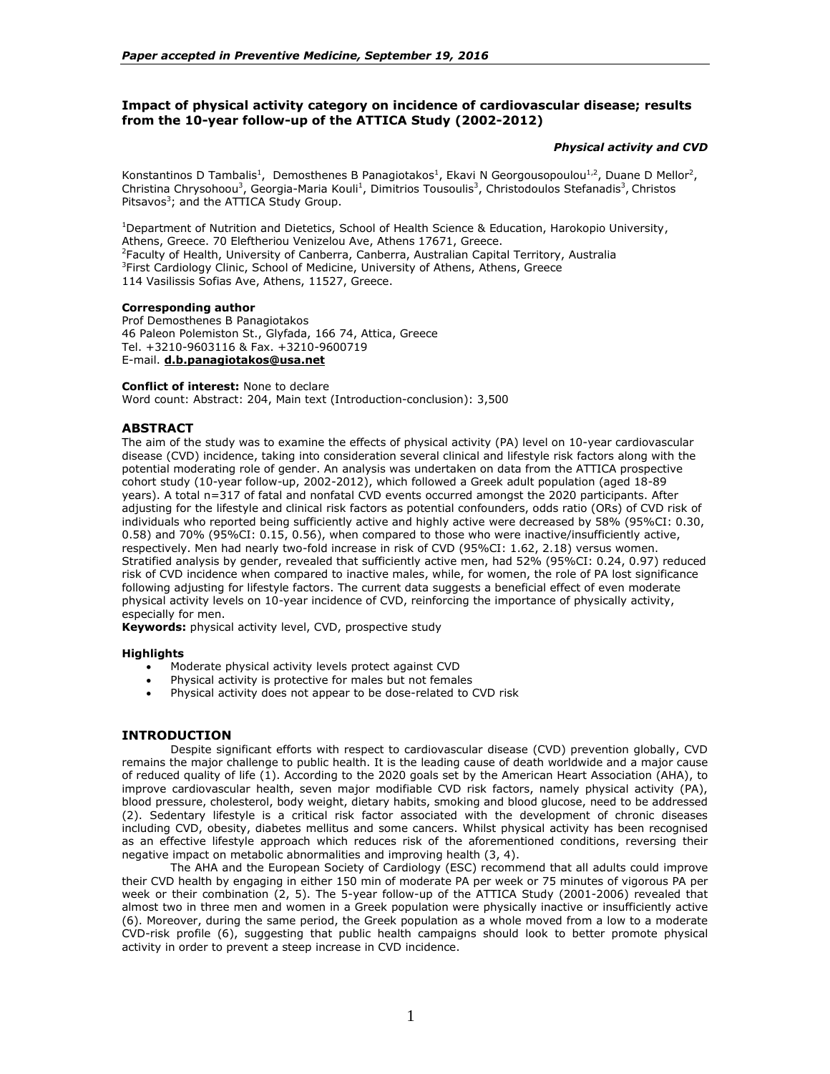# **Impact of physical activity category on incidence of cardiovascular disease; results from the 10-year follow-up of the ATTICA Study (2002-2012)**

## *Physical activity and CVD*

Konstantinos D Tambalis<sup>1</sup>, Demosthenes B Panagiotakos<sup>1</sup>, Ekavi N Georgousopoulou<sup>1,2</sup>, Duane D Mellor<sup>2</sup>, Christina Chrysohoou<sup>3</sup>, Georgia-Maria Kouli<sup>1</sup>, Dimitrios Tousoulis<sup>3</sup>, Christodoulos Stefanadis<sup>3</sup>, Christos Pitsavos<sup>3</sup>; and the ATTICA Study Group.

<sup>1</sup>Department of Nutrition and Dietetics, School of Health Science & Education, Harokopio University, Athens, Greece. 70 Eleftheriou Venizelou Ave, Athens 17671, Greece. 2 Faculty of Health, University of Canberra, Canberra, Australian Capital Territory, Australia <sup>3</sup>First Cardiology Clinic, School of Medicine, University of Athens, Athens, Greece 114 Vasilissis Sofias Ave, Athens, 11527, Greece.

### **Corresponding author**

Prof Demosthenes B Panagiotakos 46 Paleon Polemiston St., Glyfada, 166 74, Attica, Greece Tel. +3210-9603116 & Fax. +3210-9600719 E-mail. **[d.b.panagiotakos@usa.net](mailto:chrysohoou@usa.net)**

## **Conflict of interest:** None to declare

Word count: Abstract: 204, Main text (Introduction-conclusion): 3,500

# **ABSTRACT**

The aim of the study was to examine the effects of physical activity (PA) level on 10-year cardiovascular disease (CVD) incidence, taking into consideration several clinical and lifestyle risk factors along with the potential moderating role of gender. An analysis was undertaken on data from the ATTICA prospective cohort study (10-year follow-up, 2002-2012), which followed a Greek adult population (aged 18-89 years). A total n=317 of fatal and nonfatal CVD events occurred amongst the 2020 participants. After adjusting for the lifestyle and clinical risk factors as potential confounders, odds ratio (ORs) of CVD risk of individuals who reported being sufficiently active and highly active were decreased by 58% (95%CI: 0.30, 0.58) and 70% (95%CI: 0.15, 0.56), when compared to those who were inactive/insufficiently active, respectively. Men had nearly two-fold increase in risk of CVD (95%CI: 1.62, 2.18) versus women. Stratified analysis by gender, revealed that sufficiently active men, had 52% (95%CI: 0.24, 0.97) reduced risk of CVD incidence when compared to inactive males, while, for women, the role of PA lost significance following adjusting for lifestyle factors. The current data suggests a beneficial effect of even moderate physical activity levels on 10-year incidence of CVD, reinforcing the importance of physically activity, especially for men.

**Keywords:** physical activity level, CVD, prospective study

### **Highlights**

- Moderate physical activity levels protect against CVD
- Physical activity is protective for males but not females
- Physical activity does not appear to be dose-related to CVD risk

## **INTRODUCTION**

Despite significant efforts with respect to cardiovascular disease (CVD) prevention globally, CVD remains the major challenge to public health. It is the leading cause of death worldwide and a major cause of reduced quality of life (1). According to the 2020 goals set by the American Heart Association (AHA), to improve cardiovascular health, seven major modifiable CVD risk factors, namely physical activity (PA), blood pressure, cholesterol, body weight, dietary habits, smoking and blood glucose, need to be addressed (2). Sedentary lifestyle is a critical risk factor associated with the development of chronic diseases including CVD, obesity, diabetes mellitus and some cancers. Whilst physical activity has been recognised as an effective lifestyle approach which reduces risk of the aforementioned conditions, reversing their negative impact on metabolic abnormalities and improving health (3, 4).

The AHA and the European Society of Cardiology (ESC) recommend that all adults could improve their CVD health by engaging in either 150 min of moderate PA per week or 75 minutes of vigorous PA per week or their combination (2, 5). The 5-year follow-up of the ATTICA Study (2001-2006) revealed that almost two in three men and women in a Greek population were physically inactive or insufficiently active (6). Moreover, during the same period, the Greek population as a whole moved from a low to a moderate CVD-risk profile (6), suggesting that public health campaigns should look to better promote physical activity in order to prevent a steep increase in CVD incidence.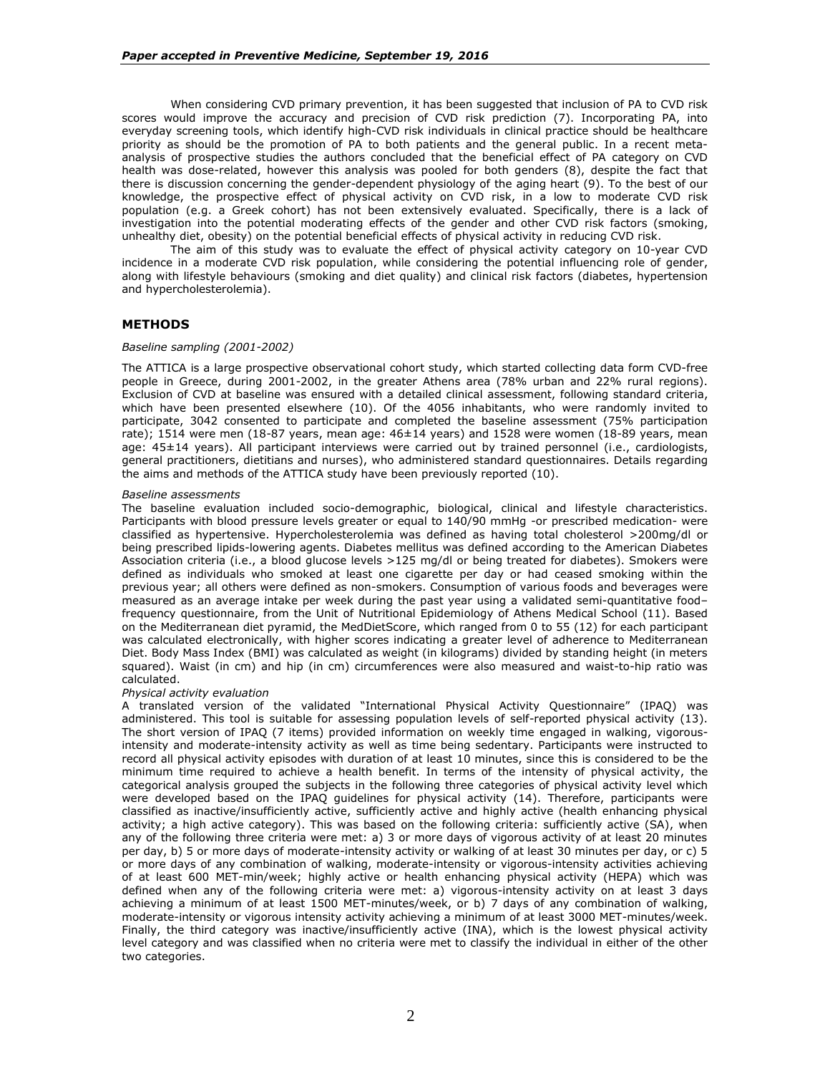When considering CVD primary prevention, it has been suggested that inclusion of PA to CVD risk scores would improve the accuracy and precision of CVD risk prediction (7). Incorporating PA, into everyday screening tools, which identify high-CVD risk individuals in clinical practice should be healthcare priority as should be the promotion of PA to both patients and the general public. In a recent metaanalysis of prospective studies the authors concluded that the beneficial effect of PA category on CVD health was dose-related, however this analysis was pooled for both genders (8), despite the fact that there is discussion concerning the gender-dependent physiology of the aging heart (9). To the best of our knowledge, the prospective effect of physical activity on CVD risk, in a low to moderate CVD risk population (e.g. a Greek cohort) has not been extensively evaluated. Specifically, there is a lack of investigation into the potential moderating effects of the gender and other CVD risk factors (smoking, unhealthy diet, obesity) on the potential beneficial effects of physical activity in reducing CVD risk.

The aim of this study was to evaluate the effect of physical activity category on 10-year CVD incidence in a moderate CVD risk population, while considering the potential influencing role of gender, along with lifestyle behaviours (smoking and diet quality) and clinical risk factors (diabetes, hypertension and hypercholesterolemia).

## **METHODS**

#### *Baseline sampling (2001-2002)*

The ATTICA is a large prospective observational cohort study, which started collecting data form CVD-free people in Greece, during 2001-2002, in the greater Athens area (78% urban and 22% rural regions). Exclusion of CVD at baseline was ensured with a detailed clinical assessment, following standard criteria, which have been presented elsewhere (10). Of the 4056 inhabitants, who were randomly invited to participate, 3042 consented to participate and completed the baseline assessment (75% participation rate); 1514 were men (18-87 years, mean age: 46±14 years) and 1528 were women (18-89 years, mean age: 45±14 years). All participant interviews were carried out by trained personnel (i.e., cardiologists, general practitioners, dietitians and nurses), who administered standard questionnaires. Details regarding the aims and methods of the ATTICA study have been previously reported (10).

#### *Baseline assessments*

The baseline evaluation included socio-demographic, biological, clinical and lifestyle characteristics. Participants with blood pressure levels greater or equal to 140/90 mmHg -or prescribed medication- were classified as hypertensive. Hypercholesterolemia was defined as having total cholesterol >200mg/dl or being prescribed lipids-lowering agents. Diabetes mellitus was defined according to the American Diabetes Association criteria (i.e., a blood glucose levels >125 mg/dl or being treated for diabetes). Smokers were defined as individuals who smoked at least one cigarette per day or had ceased smoking within the previous year; all others were defined as non-smokers. Consumption of various foods and beverages were measured as an average intake per week during the past year using a validated semi-quantitative food– frequency questionnaire, from the Unit of Nutritional Epidemiology of Athens Medical School (11). Based on the Mediterranean diet pyramid, the MedDietScore, which ranged from 0 to 55 (12) for each participant was calculated electronically, with higher scores indicating a greater level of adherence to Mediterranean Diet. Body Mass Index (BMI) was calculated as weight (in kilograms) divided by standing height (in meters squared). Waist (in cm) and hip (in cm) circumferences were also measured and waist-to-hip ratio was calculated.

#### *Physical activity evaluation*

A translated version of the validated "International Physical Activity Questionnaire" (IPAQ) was administered. This tool is suitable for assessing population levels of self-reported physical activity (13). The short version of IPAQ (7 items) provided information on weekly time engaged in walking, vigorousintensity and moderate-intensity activity as well as time being sedentary. Participants were instructed to record all physical activity episodes with duration of at least 10 minutes, since this is considered to be the minimum time required to achieve a health benefit. In terms of the intensity of physical activity, the categorical analysis grouped the subjects in the following three categories of physical activity level which were developed based on the IPAQ guidelines for physical activity (14). Therefore, participants were classified as inactive/insufficiently active, sufficiently active and highly active (health enhancing physical activity; a high active category). This was based on the following criteria: sufficiently active (SA), when any of the following three criteria were met: a) 3 or more days of vigorous activity of at least 20 minutes per day, b) 5 or more days of moderate-intensity activity or walking of at least 30 minutes per day, or c) 5 or more days of any combination of walking, moderate-intensity or vigorous-intensity activities achieving of at least 600 MET-min/week; highly active or health enhancing physical activity (HEPA) which was defined when any of the following criteria were met: a) vigorous-intensity activity on at least 3 days achieving a minimum of at least 1500 MET-minutes/week, or b) 7 days of any combination of walking, moderate-intensity or vigorous intensity activity achieving a minimum of at least 3000 MET-minutes/week. Finally, the third category was inactive/insufficiently active (INA), which is the lowest physical activity level category and was classified when no criteria were met to classify the individual in either of the other two categories.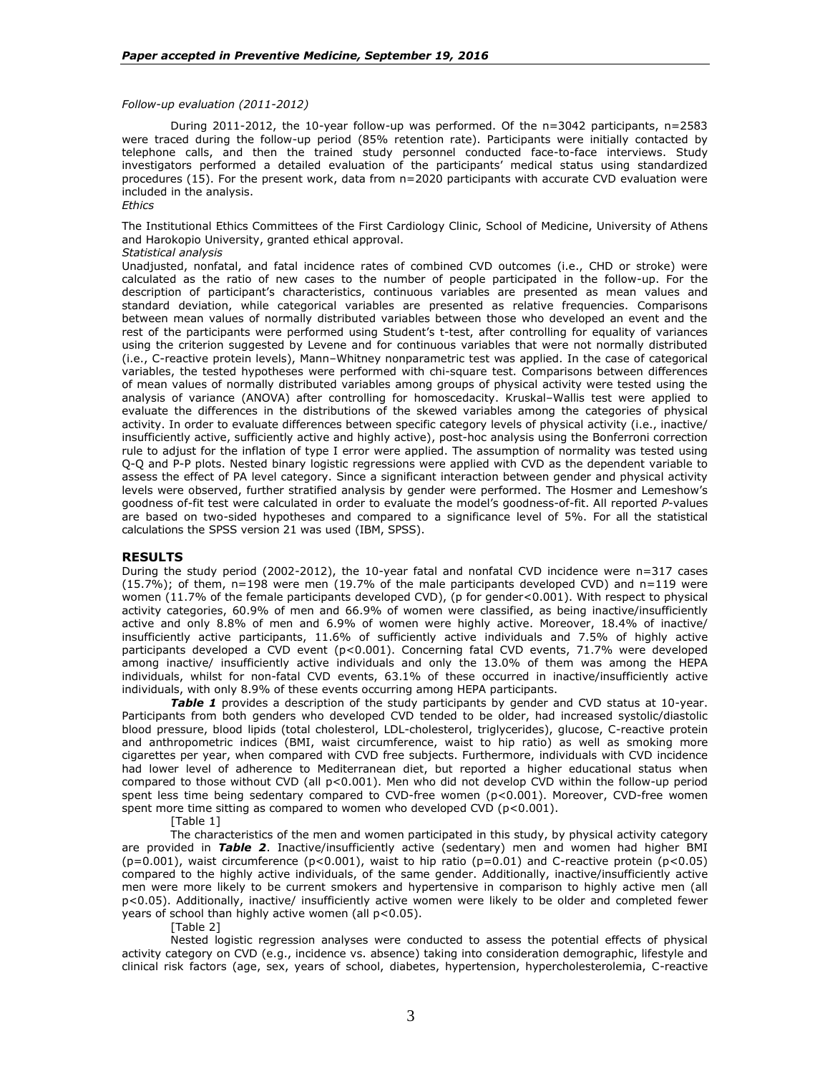### *Follow-up evaluation (2011-2012)*

During 2011-2012, the 10-year follow-up was performed. Of the n=3042 participants, n=2583 were traced during the follow-up period (85% retention rate). Participants were initially contacted by telephone calls, and then the trained study personnel conducted face-to-face interviews. Study investigators performed a detailed evaluation of the participants' medical status using standardized procedures (15). For the present work, data from n=2020 participants with accurate CVD evaluation were included in the analysis. *Ethics*

The Institutional Ethics Committees of the First Cardiology Clinic, School of Medicine, University of Athens and Harokopio University, granted ethical approval.

## *Statistical analysis*

Unadjusted, nonfatal, and fatal incidence rates of combined CVD outcomes (i.e., CHD or stroke) were calculated as the ratio of new cases to the number of people participated in the follow-up. For the description of participant's characteristics, continuous variables are presented as mean values and standard deviation, while categorical variables are presented as relative frequencies. Comparisons between mean values of normally distributed variables between those who developed an event and the rest of the participants were performed using Student's t-test, after controlling for equality of variances using the criterion suggested by Levene and for continuous variables that were not normally distributed (i.e., C-reactive protein levels), Mann–Whitney nonparametric test was applied. In the case of categorical variables, the tested hypotheses were performed with chi-square test. Comparisons between differences of mean values of normally distributed variables among groups of physical activity were tested using the analysis of variance (ANOVA) after controlling for homoscedacity. Kruskal–Wallis test were applied to evaluate the differences in the distributions of the skewed variables among the categories of physical activity. In order to evaluate differences between specific category levels of physical activity (i.e., inactive/ insufficiently active, sufficiently active and highly active), post-hoc analysis using the Bonferroni correction rule to adjust for the inflation of type I error were applied. The assumption of normality was tested using Q-Q and P-P plots. Nested binary logistic regressions were applied with CVD as the dependent variable to assess the effect of PA level category. Since a significant interaction between gender and physical activity levels were observed, further stratified analysis by gender were performed. The Hosmer and Lemeshow's goodness of-fit test were calculated in order to evaluate the model's goodness-of-fit. All reported *P*-values are based on two-sided hypotheses and compared to a significance level of 5%. For all the statistical calculations the SPSS version 21 was used (IBM, SPSS).

### **RESULTS**

During the study period (2002-2012), the 10-year fatal and nonfatal CVD incidence were n=317 cases  $(15.7%)$ ; of them,  $n=198$  were men  $(19.7%$  of the male participants developed CVD) and  $n=119$  were women (11.7% of the female participants developed CVD), (p for gender<0.001). With respect to physical activity categories, 60.9% of men and 66.9% of women were classified, as being inactive/insufficiently active and only 8.8% of men and 6.9% of women were highly active. Moreover, 18.4% of inactive/ insufficiently active participants, 11.6% of sufficiently active individuals and 7.5% of highly active participants developed a CVD event (p<0.001). Concerning fatal CVD events, 71.7% were developed among inactive/ insufficiently active individuals and only the 13.0% of them was among the HEPA individuals, whilst for non-fatal CVD events, 63.1% of these occurred in inactive/insufficiently active individuals, with only 8.9% of these events occurring among HEPA participants.

**Table 1** provides a description of the study participants by gender and CVD status at 10-year. Participants from both genders who developed CVD tended to be older, had increased systolic/diastolic blood pressure, blood lipids (total cholesterol, LDL-cholesterol, triglycerides), glucose, C-reactive protein and anthropometric indices (BMI, waist circumference, waist to hip ratio) as well as smoking more cigarettes per year, when compared with CVD free subjects. Furthermore, individuals with CVD incidence had lower level of adherence to Mediterranean diet, but reported a higher educational status when compared to those without CVD (all p<0.001). Men who did not develop CVD within the follow-up period spent less time being sedentary compared to CVD-free women (p<0.001). Moreover, CVD-free women spent more time sitting as compared to women who developed CVD  $(p<0.001)$ .

[Table 1]

The characteristics of the men and women participated in this study, by physical activity category are provided in *Table 2*. Inactive/insufficiently active (sedentary) men and women had higher BMI (p=0.001), waist circumference (p<0.001), waist to hip ratio (p=0.01) and C-reactive protein (p<0.05) compared to the highly active individuals, of the same gender. Additionally, inactive/insufficiently active men were more likely to be current smokers and hypertensive in comparison to highly active men (all p<0.05). Additionally, inactive/ insufficiently active women were likely to be older and completed fewer years of school than highly active women (all p<0.05).

[Table 2]

Nested logistic regression analyses were conducted to assess the potential effects of physical activity category on CVD (e.g., incidence vs. absence) taking into consideration demographic, lifestyle and clinical risk factors (age, sex, years of school, diabetes, hypertension, hypercholesterolemia, C-reactive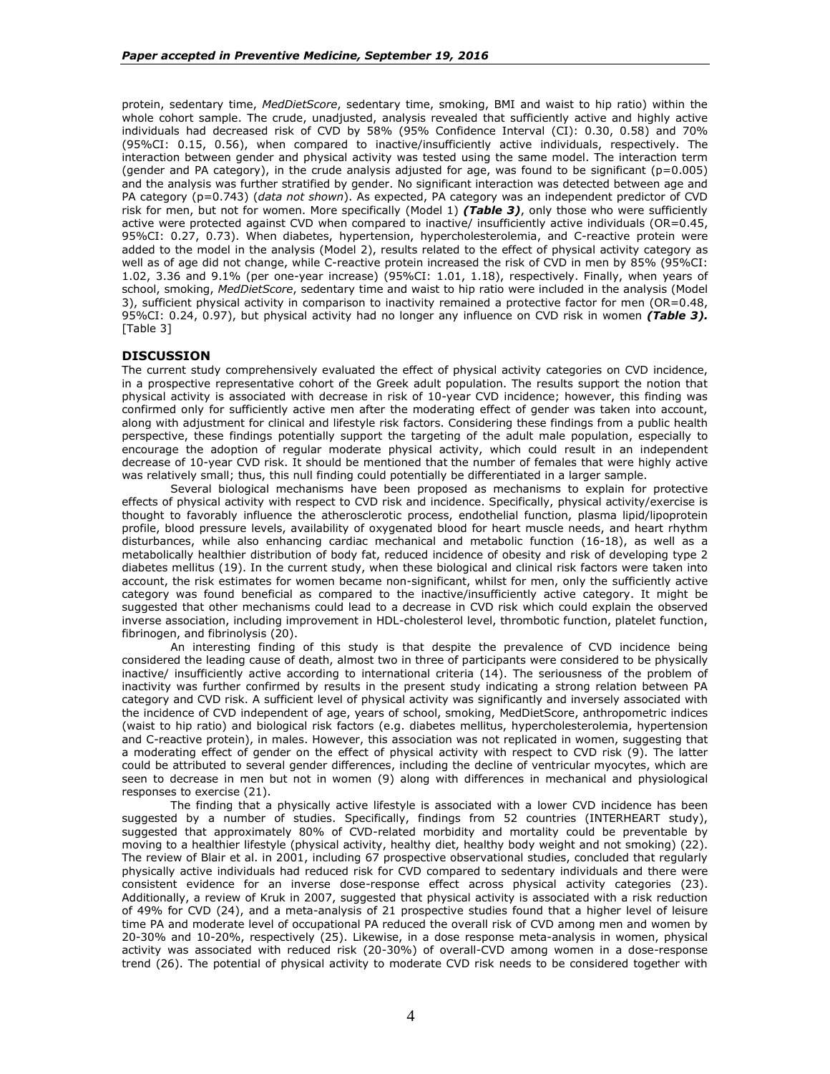protein, sedentary time, *MedDietScore*, sedentary time, smoking, BMI and waist to hip ratio) within the whole cohort sample. The crude, unadjusted, analysis revealed that sufficiently active and highly active individuals had decreased risk of CVD by 58% (95% Confidence Interval (CI): 0.30, 0.58) and 70% (95%CI: 0.15, 0.56), when compared to inactive/insufficiently active individuals, respectively. The interaction between gender and physical activity was tested using the same model. The interaction term (gender and PA category), in the crude analysis adjusted for age, was found to be significant (p=0.005) and the analysis was further stratified by gender. No significant interaction was detected between age and PA category (p=0.743) (*data not shown*). As expected, PA category was an independent predictor of CVD risk for men, but not for women. More specifically (Model 1) *(Table 3)*, only those who were sufficiently active were protected against CVD when compared to inactive/ insufficiently active individuals (OR=0.45, 95%CI: 0.27, 0.73). When diabetes, hypertension, hypercholesterolemia, and C-reactive protein were added to the model in the analysis (Model 2), results related to the effect of physical activity category as well as of age did not change, while C-reactive protein increased the risk of CVD in men by 85% (95%CI: 1.02, 3.36 and 9.1% (per one-year increase) (95%CI: 1.01, 1.18), respectively. Finally, when years of school, smoking, *MedDietScore*, sedentary time and waist to hip ratio were included in the analysis (Model 3), sufficient physical activity in comparison to inactivity remained a protective factor for men (OR=0.48, 95%CI: 0.24, 0.97), but physical activity had no longer any influence on CVD risk in women *(Table 3).* [Table 3]

## **DISCUSSION**

The current study comprehensively evaluated the effect of physical activity categories on CVD incidence, in a prospective representative cohort of the Greek adult population. The results support the notion that physical activity is associated with decrease in risk of 10-year CVD incidence; however, this finding was confirmed only for sufficiently active men after the moderating effect of gender was taken into account, along with adjustment for clinical and lifestyle risk factors. Considering these findings from a public health perspective, these findings potentially support the targeting of the adult male population, especially to encourage the adoption of regular moderate physical activity, which could result in an independent decrease of 10-year CVD risk. It should be mentioned that the number of females that were highly active was relatively small; thus, this null finding could potentially be differentiated in a larger sample.

Several biological mechanisms have been proposed as mechanisms to explain for protective effects of physical activity with respect to CVD risk and incidence. Specifically, physical activity/exercise is thought to favorably influence the atherosclerotic process, endothelial function, plasma lipid/lipoprotein profile, blood pressure levels, availability of oxygenated blood for heart muscle needs, and heart rhythm disturbances, while also enhancing cardiac mechanical and metabolic function (16-18), as well as a metabolically healthier distribution of body fat, reduced incidence of obesity and risk of developing type 2 diabetes mellitus (19). In the current study, when these biological and clinical risk factors were taken into account, the risk estimates for women became non-significant, whilst for men, only the sufficiently active category was found beneficial as compared to the inactive/insufficiently active category. It might be suggested that other mechanisms could lead to a decrease in CVD risk which could explain the observed inverse association, including improvement in HDL-cholesterol level, thrombotic function, platelet function, fibrinogen, and fibrinolysis (20).

An interesting finding of this study is that despite the prevalence of CVD incidence being considered the leading cause of death, almost two in three of participants were considered to be physically inactive/ insufficiently active according to international criteria (14). The seriousness of the problem of inactivity was further confirmed by results in the present study indicating a strong relation between PA category and CVD risk. A sufficient level of physical activity was significantly and inversely associated with the incidence of CVD independent of age, years of school, smoking, MedDietScore, anthropometric indices (waist to hip ratio) and biological risk factors (e.g. diabetes mellitus, hypercholesterolemia, hypertension and C-reactive protein), in males. However, this association was not replicated in women, suggesting that a moderating effect of gender on the effect of physical activity with respect to CVD risk (9). The latter could be attributed to several gender differences, including the decline of ventricular myocytes, which are seen to decrease in men but not in women (9) along with differences in mechanical and physiological responses to exercise (21).

The finding that a physically active lifestyle is associated with a lower CVD incidence has been suggested by a number of studies. Specifically, findings from 52 countries (INTERHEART study), suggested that approximately 80% of CVD-related morbidity and mortality could be preventable by moving to a healthier lifestyle (physical activity, healthy diet, healthy body weight and not smoking) (22). The review of Blair et al. in 2001, including 67 prospective observational studies, concluded that regularly physically active individuals had reduced risk for CVD compared to sedentary individuals and there were consistent evidence for an inverse dose-response effect across physical activity categories (23). Additionally, a review of Kruk in 2007, suggested that physical activity is associated with a risk reduction of 49% for CVD (24), and a meta-analysis of 21 prospective studies found that a higher level of leisure time PA and moderate level of occupational PA reduced the overall risk of CVD among men and women by 20-30% and 10-20%, respectively (25). Likewise, in a dose response meta-analysis in women, physical activity was associated with reduced risk (20-30%) of overall-CVD among women in a dose-response trend (26). The potential of physical activity to moderate CVD risk needs to be considered together with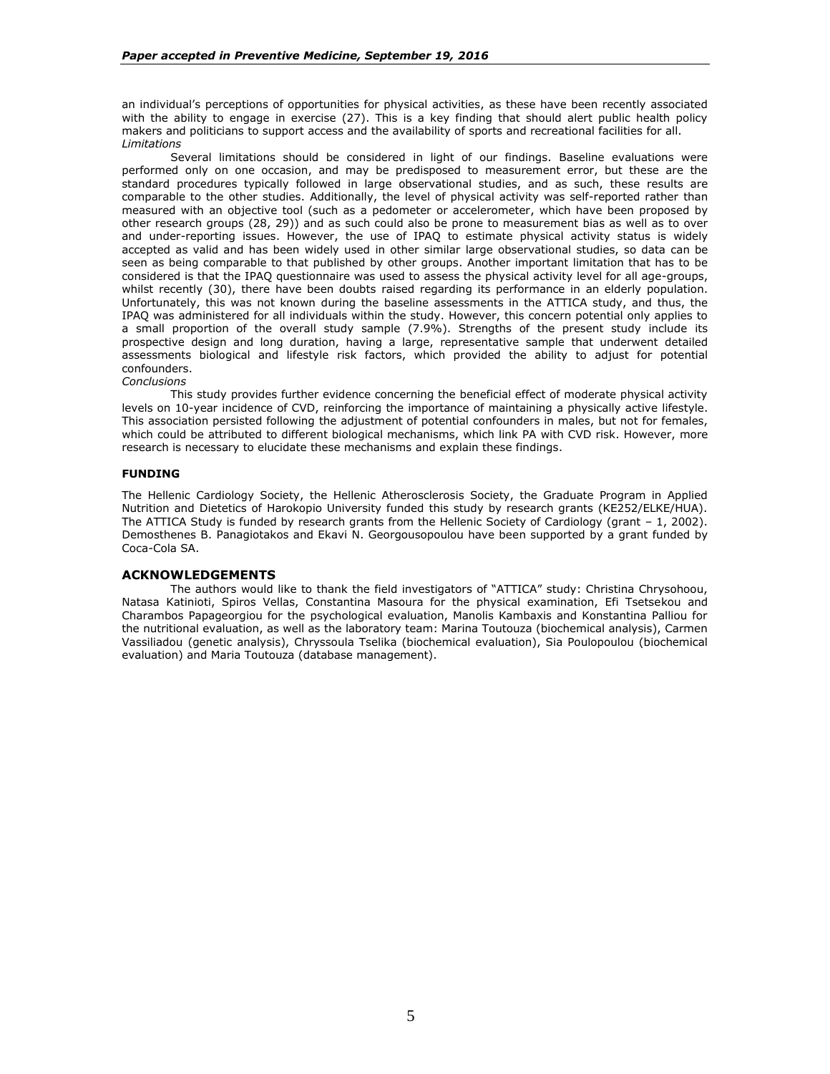an individual's perceptions of opportunities for physical activities, as these have been recently associated with the ability to engage in exercise (27). This is a key finding that should alert public health policy makers and politicians to support access and the availability of sports and recreational facilities for all. *Limitations*

Several limitations should be considered in light of our findings. Baseline evaluations were performed only on one occasion, and may be predisposed to measurement error, but these are the standard procedures typically followed in large observational studies, and as such, these results are comparable to the other studies. Additionally, the level of physical activity was self-reported rather than measured with an objective tool (such as a pedometer or accelerometer, which have been proposed by other research groups (28, 29)) and as such could also be prone to measurement bias as well as to over and under-reporting issues. However, the use of IPAQ to estimate physical activity status is widely accepted as valid and has been widely used in other similar large observational studies, so data can be seen as being comparable to that published by other groups. Another important limitation that has to be considered is that the IPAQ questionnaire was used to assess the physical activity level for all age-groups, whilst recently (30), there have been doubts raised regarding its performance in an elderly population. Unfortunately, this was not known during the baseline assessments in the ATTICA study, and thus, the IPAQ was administered for all individuals within the study. However, this concern potential only applies to a small proportion of the overall study sample (7.9%). Strengths of the present study include its prospective design and long duration, having a large, representative sample that underwent detailed assessments biological and lifestyle risk factors, which provided the ability to adjust for potential confounders.

*Conclusions*

This study provides further evidence concerning the beneficial effect of moderate physical activity levels on 10-year incidence of CVD, reinforcing the importance of maintaining a physically active lifestyle. This association persisted following the adjustment of potential confounders in males, but not for females, which could be attributed to different biological mechanisms, which link PA with CVD risk. However, more research is necessary to elucidate these mechanisms and explain these findings.

## **FUNDING**

The Hellenic Cardiology Society, the Hellenic Atherosclerosis Society, the Graduate Program in Applied Nutrition and Dietetics of Harokopio University funded this study by research grants (KE252/ELKE/HUA). The ATTICA Study is funded by research grants from the Hellenic Society of Cardiology (grant – 1, 2002). Demosthenes B. Panagiotakos and Ekavi N. Georgousopoulou have been supported by a grant funded by Coca-Cola SA.

### **ACKNOWLEDGEMENTS**

The authors would like to thank the field investigators of "ATTICA" study: Christina Chrysohoou, Natasa Katinioti, Spiros Vellas, Constantina Masoura for the physical examination, Efi Tsetsekou and Charambos Papageorgiou for the psychological evaluation, Manolis Kambaxis and Konstantina Palliou for the nutritional evaluation, as well as the laboratory team: Marina Toutouza (biochemical analysis), Carmen Vassiliadou (genetic analysis), Chryssoula Tselika (biochemical evaluation), Sia Poulopoulou (biochemical evaluation) and Maria Toutouza (database management).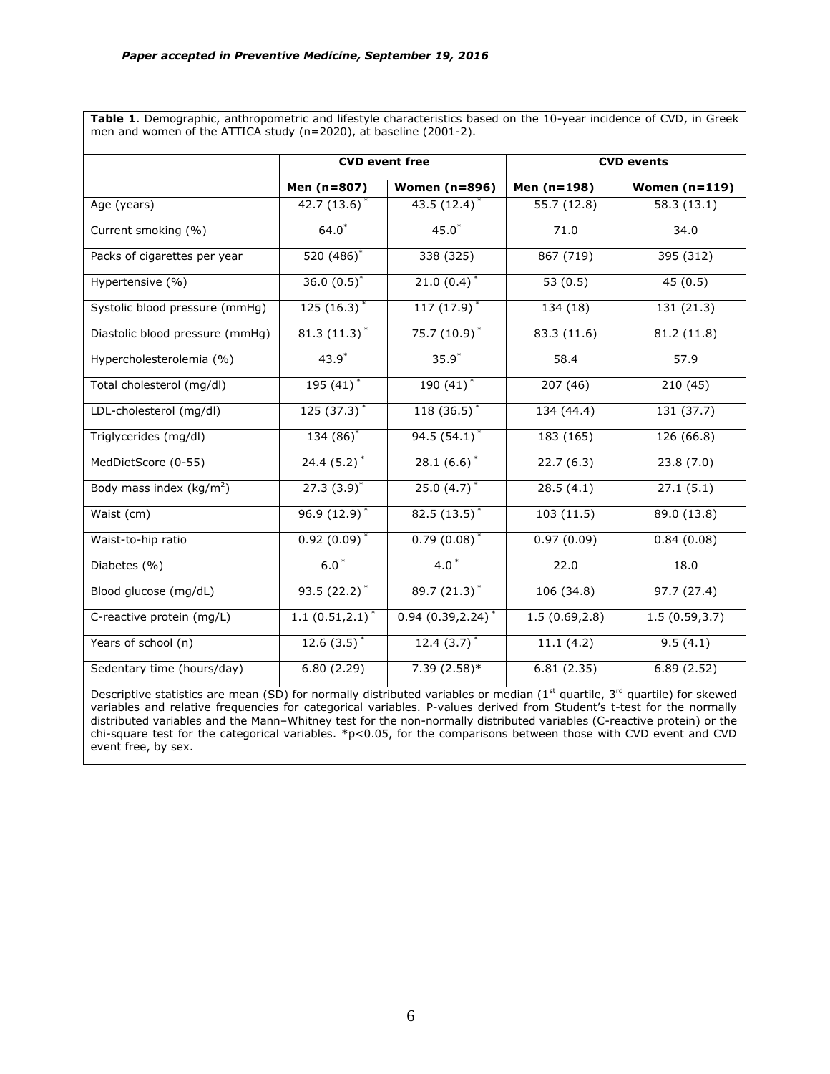**Table 1**. Demographic, anthropometric and lifestyle characteristics based on the 10-year incidence of CVD, in Greek men and women of the ATTICA study (n=2020), at baseline (2001-2).

|                                     | <b>CVD</b> event free |                                 | <b>CVD events</b> |                 |  |
|-------------------------------------|-----------------------|---------------------------------|-------------------|-----------------|--|
|                                     | Men (n=807)           | <b>Women (n=896)</b>            | Men $(n=198)$     | Women $(n=119)$ |  |
| Age (years)                         | $42.7(13.6)^*$        | $43.5(12.4)^*$                  | 55.7 (12.8)       | 58.3(13.1)      |  |
| Current smoking (%)                 | $64.0*$               | $45.0*$                         | 71.0              | 34.0            |  |
| Packs of cigarettes per year        | 520 (486)*            | 338 (325)                       | 867 (719)         | 395 (312)       |  |
| Hypertensive (%)                    | $36.0(0.5)^{*}$       | 21.0 $(0.4)^*$                  | 53 $(0.5)$        | 45(0.5)         |  |
| Systolic blood pressure (mmHg)      | 125 $(16.3)^*$        | 117 $(17.9)^*$                  | 134 (18)          | 131 (21.3)      |  |
| Diastolic blood pressure (mmHg)     | $81.3(11.3)^*$        | $75.7(10.9)^*$                  | 83.3 (11.6)       | 81.2 (11.8)     |  |
| Hypercholesterolemia (%)            | $43.9*$               | $35.9*$                         | 58.4              | 57.9            |  |
| Total cholesterol (mg/dl)           | $195(41)^*$           | $190(41)$ <sup>*</sup>          | 207(46)           | 210(45)         |  |
| LDL-cholesterol (mg/dl)             | 125 $(37.3)^*$        | $118(36.5)^*$                   | 134 (44.4)        | 131 (37.7)      |  |
| Triglycerides (mg/dl)               | $134(86)$ *           | $94.5(54.1)^*$                  | 183(165)          | 126(66.8)       |  |
| MedDietScore (0-55)                 | $24.4(5.2)^{*}$       | $28.1(6.6)^*$                   | 22.7(6.3)         | 23.8(7.0)       |  |
| Body mass index ( $\text{kg/m}^2$ ) | $27.3 (3.9)^{*}$      | $25.0(4.7)^*$                   | 28.5(4.1)         | 27.1(5.1)       |  |
| Waist (cm)                          | $96.9(12.9)^{*}$      | $82.5(13.5)^*$                  | 103(11.5)         | 89.0 (13.8)     |  |
| Waist-to-hip ratio                  | $0.92(0.09)^*$        | $0.79(0.08)^*$                  | 0.97(0.09)        | 0.84(0.08)      |  |
| Diabetes (%)                        | $6.0*$                | $4.0*$                          | 22.0              | 18.0            |  |
| Blood glucose (mg/dL)               | $93.5(22.2)^*$        | $89.7(21.3)^*$                  | 106(34.8)         | 97.7(27.4)      |  |
| C-reactive protein (mg/L)           | $1.1(0.51, 2.1)^{*}$  | $0.94(0.39, 2.24)$ <sup>*</sup> | 1.5(0.69, 2.8)    | 1.5(0.59, 3.7)  |  |
| Years of school (n)                 | 12.6 $(3.5)^*$        | 12.4 $(3.7)^*$                  | 11.1(4.2)         | 9.5(4.1)        |  |
| Sedentary time (hours/day)          | 6.80(2.29)            | $7.39(2.58)*$                   | 6.81(2.35)        | 6.89(2.52)      |  |

Descriptive statistics are mean (SD) for normally distributed variables or median ( $1<sup>st</sup>$  quartile,  $3<sup>rd</sup>$  quartile) for skewed variables and relative frequencies for categorical variables. P-values derived from Student's t-test for the normally distributed variables and the Mann–Whitney test for the non-normally distributed variables (C-reactive protein) or the chi-square test for the categorical variables.  $*p<0.05$ , for the comparisons between those with CVD event and CVD event free, by sex.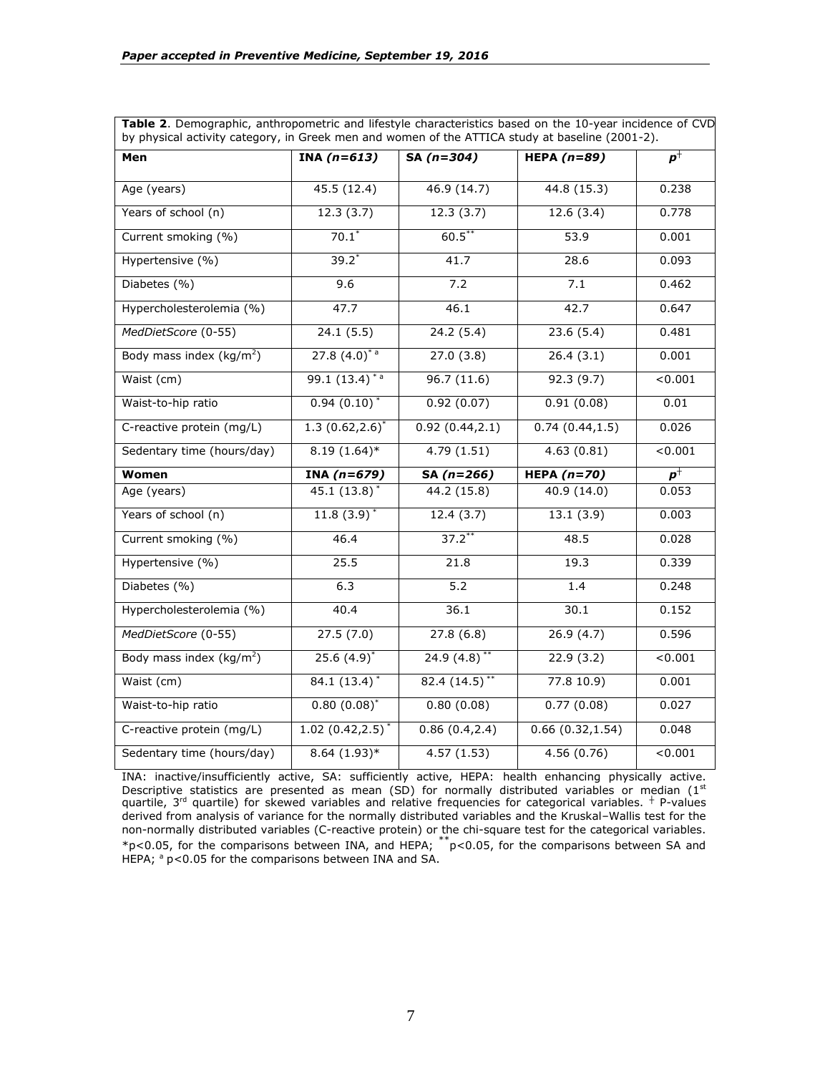| Table 2. Demographic, anthropometric and lifestyle characteristics based on the 10-year incidence of CVD<br>by physical activity category, in Greek men and women of the ATTICA study at baseline (2001-2). |                              |                           |                  |         |
|-------------------------------------------------------------------------------------------------------------------------------------------------------------------------------------------------------------|------------------------------|---------------------------|------------------|---------|
| Men                                                                                                                                                                                                         | INA $(n=613)$                | SA $(n=304)$              | HEPA $(n=89)$    | $p^+$   |
| Age (years)                                                                                                                                                                                                 | 45.5(12.4)                   | 46.9(14.7)                | 44.8 (15.3)      | 0.238   |
| Years of school (n)                                                                                                                                                                                         | 12.3(3.7)                    | 12.3(3.7)                 | 12.6(3.4)        | 0.778   |
| Current smoking (%)                                                                                                                                                                                         | $70.1*$                      | $60.5***$                 | 53.9             | 0.001   |
| Hypertensive (%)                                                                                                                                                                                            | $39.2*$                      | 41.7                      | 28.6             | 0.093   |
| Diabetes (%)                                                                                                                                                                                                | 9.6                          | 7.2                       | 7.1              | 0.462   |
| Hypercholesterolemia (%)                                                                                                                                                                                    | 47.7                         | 46.1                      | 42.7             | 0.647   |
| MedDietScore (0-55)                                                                                                                                                                                         | 24.1(5.5)                    | 24.2(5.4)                 | 23.6(5.4)        | 0.481   |
| Body mass index $(kq/m^2)$                                                                                                                                                                                  | $27.8(4.0)^{*}$ <sup>a</sup> | 27.0(3.8)                 | 26.4(3.1)        | 0.001   |
| Waist (cm)                                                                                                                                                                                                  | 99.1 $(13.4)^{*a}$           | 96.7(11.6)                | 92.3(9.7)        | < 0.001 |
| Waist-to-hip ratio                                                                                                                                                                                          | $0.94(0.10)^{*}$             | 0.92(0.07)                | 0.91(0.08)       | 0.01    |
| C-reactive protein (mg/L)                                                                                                                                                                                   | 1.3 $(0.62, 2.6)^*$          | 0.92(0.44, 2.1)           | 0.74(0.44, 1.5)  | 0.026   |
| Sedentary time (hours/day)                                                                                                                                                                                  | $8.19(1.64)$ *               | 4.79(1.51)                | 4.63(0.81)       | < 0.001 |
| Women                                                                                                                                                                                                       | INA $(n=679)$                | SA $(n=266)$              | HEPA $(n=70)$    | $p^+$   |
| Age (years)                                                                                                                                                                                                 | $45.1 (13.8)^*$              | 44.2 (15.8)               | 40.9 (14.0)      | 0.053   |
| Years of school (n)                                                                                                                                                                                         | $11.8(3.9)^{*}$              | 12.4(3.7)                 | 13.1(3.9)        | 0.003   |
| Current smoking (%)                                                                                                                                                                                         | 46.4                         | $37.2***$                 | 48.5             | 0.028   |
| Hypertensive (%)                                                                                                                                                                                            | 25.5                         | 21.8                      | 19.3             | 0.339   |
| Diabetes (%)                                                                                                                                                                                                | 6.3                          | $\overline{5.2}$          | 1.4              | 0.248   |
| Hypercholesterolemia (%)                                                                                                                                                                                    | 40.4                         | 36.1                      | 30.1             | 0.152   |
| MedDietScore (0-55)                                                                                                                                                                                         | $\overline{27.5}$ (7.0)      | 27.8(6.8)                 | 26.9(4.7)        | 0.596   |
| Body mass index ( $\text{kg/m}^2$ )                                                                                                                                                                         | $25.6(4.9)^{*}$              | $24.9(4.8)$ <sup>**</sup> | 22.9(3.2)        | < 0.001 |
| Waist (cm)                                                                                                                                                                                                  | $84.1 (13.4)^*$              | $82.4(14.5)$ **           | 77.810.9         | 0.001   |
| Waist-to-hip ratio                                                                                                                                                                                          | $0.80(0.08)^{*}$             | 0.80(0.08)                | 0.77(0.08)       | 0.027   |
| C-reactive protein (mg/L)                                                                                                                                                                                   | $1.02(0.42, 2.5)^*$          | 0.86(0.4, 2.4)            | 0.66(0.32, 1.54) | 0.048   |
| Sedentary time (hours/day)                                                                                                                                                                                  | $8.64(1.93)*$                | 4.57(1.53)                | 4.56(0.76)       | < 0.001 |

INA: inactive/insufficiently active, SA: sufficiently active, HEPA: health enhancing physically active. Descriptive statistics are presented as mean (SD) for normally distributed variables or median (1<sup>st</sup> quartile, 3rd quartile) for skewed variables and relative frequencies for categorical variables. *┼* P-values derived from analysis of variance for the normally distributed variables and the Kruskal–Wallis test for the non-normally distributed variables (C-reactive protein) or the chi-square test for the categorical variables.  $*p$ <0.05, for the comparisons between INA, and HEPA;  $*p$ <0.05, for the comparisons between SA and HEPA;  $a$  p<0.05 for the comparisons between INA and SA.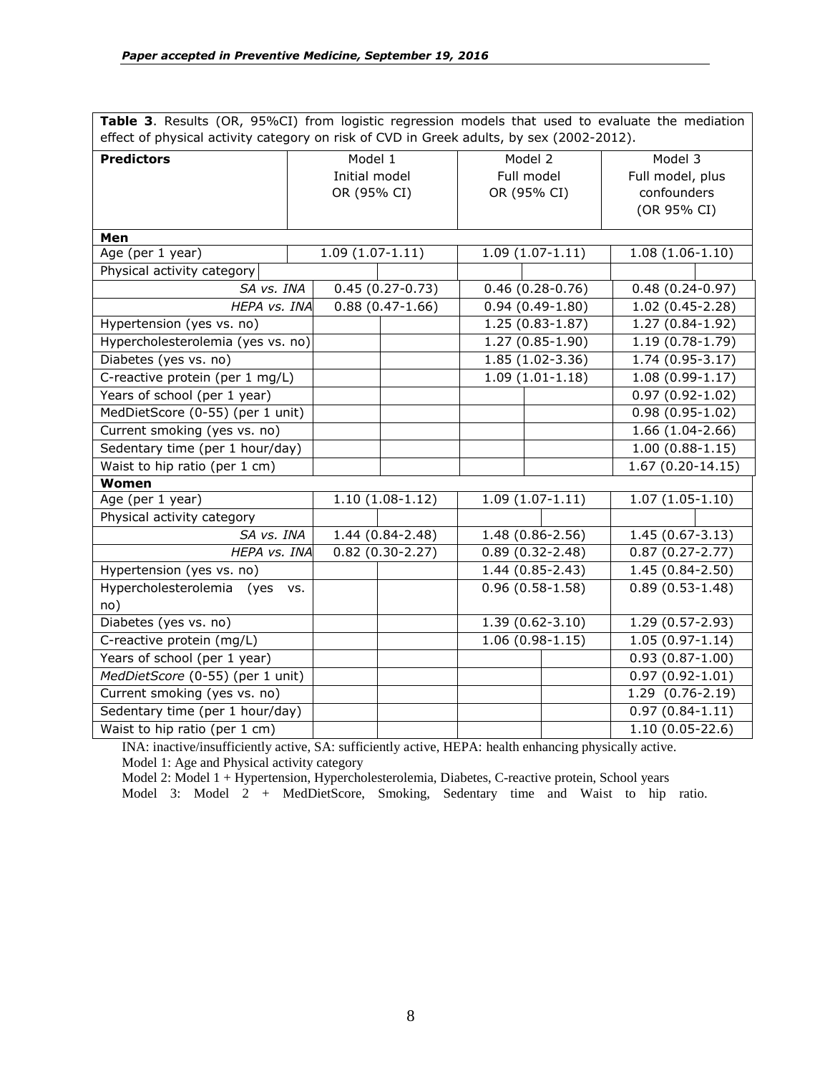**Table 3**. Results (OR, 95%CI) from logistic regression models that used to evaluate the mediation effect of physical activity category on risk of CVD in Greek adults, by sex (2002-2012).

| Check or privated activity category on now or CVD in Oreck addits, by SCA (2002 2012). |  |                   |                     |                     |                   |                     |                   |  |  |
|----------------------------------------------------------------------------------------|--|-------------------|---------------------|---------------------|-------------------|---------------------|-------------------|--|--|
| <b>Predictors</b>                                                                      |  | Model 1           |                     | Model 2             |                   | Model 3             |                   |  |  |
|                                                                                        |  | Initial model     |                     | Full model          |                   | Full model, plus    |                   |  |  |
|                                                                                        |  | OR (95% CI)       |                     |                     | OR (95% CI)       |                     | confounders       |  |  |
|                                                                                        |  |                   |                     |                     |                   |                     | (OR 95% CI)       |  |  |
| Men                                                                                    |  |                   |                     |                     |                   |                     |                   |  |  |
| Age (per 1 year)                                                                       |  | $1.09(1.07-1.11)$ |                     | $1.09(1.07-1.11)$   |                   | $1.08(1.06-1.10)$   |                   |  |  |
| Physical activity category                                                             |  |                   |                     |                     |                   |                     |                   |  |  |
| SA vs. INA                                                                             |  |                   | $0.45(0.27-0.73)$   | $0.46(0.28-0.76)$   |                   | $0.48(0.24 - 0.97)$ |                   |  |  |
| HEPA vs. INA                                                                           |  |                   | $0.88(0.47-1.66)$   | $0.94(0.49-1.80)$   |                   | $1.02(0.45-2.28)$   |                   |  |  |
| Hypertension (yes vs. no)                                                              |  |                   |                     | 1.25 (0.83-1.87)    |                   | $1.27(0.84-1.92)$   |                   |  |  |
| Hypercholesterolemia (yes vs. no)                                                      |  |                   |                     | $1.27(0.85-1.90)$   |                   | $1.19(0.78-1.79)$   |                   |  |  |
| Diabetes (yes vs. no)                                                                  |  |                   |                     |                     | 1.85 (1.02-3.36)  |                     | 1.74 (0.95-3.17)  |  |  |
| C-reactive protein (per 1 mg/L)                                                        |  |                   |                     | $1.09(1.01-1.18)$   |                   | $1.08(0.99-1.17)$   |                   |  |  |
| Years of school (per 1 year)                                                           |  |                   |                     |                     |                   | $0.97(0.92 - 1.02)$ |                   |  |  |
| MedDietScore (0-55) (per 1 unit)                                                       |  |                   |                     |                     | $0.98(0.95-1.02)$ |                     |                   |  |  |
| Current smoking (yes vs. no)                                                           |  |                   |                     | 1.66 (1.04-2.66)    |                   |                     |                   |  |  |
| Sedentary time (per 1 hour/day)                                                        |  |                   |                     |                     |                   |                     | $1.00(0.88-1.15)$ |  |  |
| Waist to hip ratio (per 1 cm)                                                          |  |                   |                     |                     |                   | $1.67(0.20-14.15)$  |                   |  |  |
| Women                                                                                  |  |                   |                     |                     |                   |                     |                   |  |  |
| Age (per 1 year)                                                                       |  |                   | $1.10(1.08-1.12)$   |                     | $1.09(1.07-1.11)$ | $1.07(1.05-1.10)$   |                   |  |  |
| Physical activity category                                                             |  |                   |                     |                     |                   |                     |                   |  |  |
| SA vs. INA                                                                             |  |                   | 1.44 (0.84-2.48)    | 1.48 (0.86-2.56)    |                   | 1.45 (0.67-3.13)    |                   |  |  |
| HEPA vs. INA                                                                           |  | $0.82(0.30-2.27)$ |                     | $0.89(0.32 - 2.48)$ |                   | $0.87(0.27 - 2.77)$ |                   |  |  |
| Hypertension (yes vs. no)                                                              |  |                   |                     | 1.44 (0.85-2.43)    |                   | 1.45 (0.84-2.50)    |                   |  |  |
| Hypercholesterolemia (yes vs.                                                          |  |                   |                     | $0.96(0.58-1.58)$   |                   | $0.89(0.53 - 1.48)$ |                   |  |  |
| no)                                                                                    |  |                   |                     |                     |                   |                     |                   |  |  |
| Diabetes (yes vs. no)                                                                  |  |                   | $1.39(0.62 - 3.10)$ |                     | 1.29 (0.57-2.93)  |                     |                   |  |  |
| C-reactive protein (mg/L)                                                              |  |                   |                     |                     | $1.06(0.98-1.15)$ |                     | $1.05(0.97-1.14)$ |  |  |
| Years of school (per 1 year)                                                           |  |                   |                     |                     |                   | $0.93(0.87 - 1.00)$ |                   |  |  |
| MedDietScore (0-55) (per 1 unit)                                                       |  |                   |                     |                     |                   | $0.97(0.92 - 1.01)$ |                   |  |  |
| Current smoking (yes vs. no)                                                           |  |                   |                     |                     |                   | 1.29 (0.76-2.19)    |                   |  |  |
| Sedentary time (per 1 hour/day)                                                        |  |                   |                     |                     |                   | $0.97(0.84-1.11)$   |                   |  |  |
| Waist to hip ratio (per 1 cm)                                                          |  |                   |                     |                     |                   | $1.10(0.05-22.6)$   |                   |  |  |

INA: inactive/insufficiently active, SA: sufficiently active, HEPA: health enhancing physically active. Model 1: Age and Physical activity category

Model 2: Model 1 + Hypertension, Hypercholesterolemia, Diabetes, C-reactive protein, School years

Model 3: Model 2 + MedDietScore, Smoking, Sedentary time and Waist to hip ratio.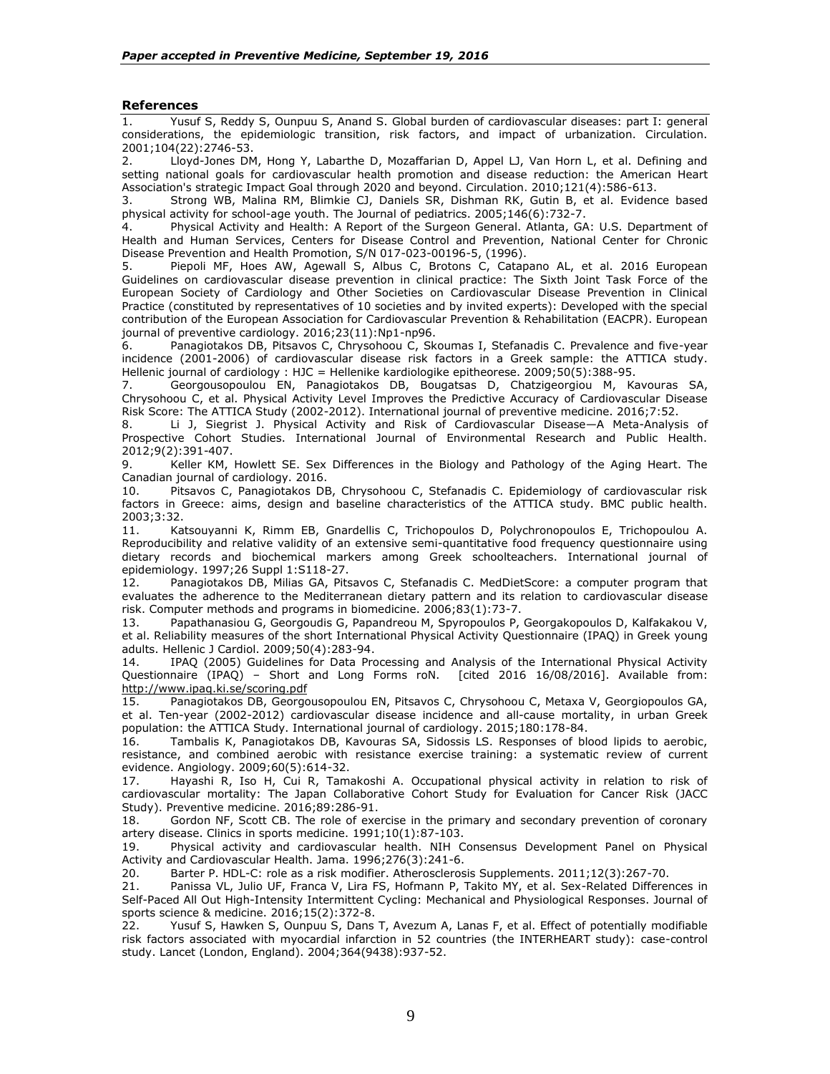## **References**

1. Yusuf S, Reddy S, Ounpuu S, Anand S. Global burden of cardiovascular diseases: part I: general considerations, the epidemiologic transition, risk factors, and impact of urbanization. Circulation. 2001;104(22):2746-53.

2. Lloyd-Jones DM, Hong Y, Labarthe D, Mozaffarian D, Appel LJ, Van Horn L, et al. Defining and setting national goals for cardiovascular health promotion and disease reduction: the American Heart Association's strategic Impact Goal through 2020 and beyond. Circulation. 2010;121(4):586-613.

3. Strong WB, Malina RM, Blimkie CJ, Daniels SR, Dishman RK, Gutin B, et al. Evidence based physical activity for school-age youth. The Journal of pediatrics. 2005;146(6):732-7.

4. Physical Activity and Health: A Report of the Surgeon General. Atlanta, GA: U.S. Department of Health and Human Services, Centers for Disease Control and Prevention, National Center for Chronic Disease Prevention and Health Promotion, S/N 017-023-00196-5, (1996).

5. Piepoli MF, Hoes AW, Agewall S, Albus C, Brotons C, Catapano AL, et al. 2016 European Guidelines on cardiovascular disease prevention in clinical practice: The Sixth Joint Task Force of the European Society of Cardiology and Other Societies on Cardiovascular Disease Prevention in Clinical Practice (constituted by representatives of 10 societies and by invited experts): Developed with the special contribution of the European Association for Cardiovascular Prevention & Rehabilitation (EACPR). European journal of preventive cardiology. 2016;23(11):Np1-np96.

6. Panagiotakos DB, Pitsavos C, Chrysohoou C, Skoumas I, Stefanadis C. Prevalence and five-year incidence (2001-2006) of cardiovascular disease risk factors in a Greek sample: the ATTICA study. Hellenic journal of cardiology : HJC = Hellenike kardiologike epitheorese. 2009;50(5):388-95.

7. Georgousopoulou EN, Panagiotakos DB, Bougatsas D, Chatzigeorgiou M, Kavouras SA, Chrysohoou C, et al. Physical Activity Level Improves the Predictive Accuracy of Cardiovascular Disease Risk Score: The ATTICA Study (2002-2012). International journal of preventive medicine. 2016;7:52.

8. Li J, Siegrist J. Physical Activity and Risk of Cardiovascular Disease—A Meta-Analysis of Prospective Cohort Studies. International Journal of Environmental Research and Public Health. 2012;9(2):391-407.

9. Keller KM, Howlett SE. Sex Differences in the Biology and Pathology of the Aging Heart. The Canadian journal of cardiology. 2016.

10. Pitsavos C, Panagiotakos DB, Chrysohoou C, Stefanadis C. Epidemiology of cardiovascular risk factors in Greece: aims, design and baseline characteristics of the ATTICA study. BMC public health. 2003;3:32.

11. Katsouyanni K, Rimm EB, Gnardellis C, Trichopoulos D, Polychronopoulos E, Trichopoulou A. Reproducibility and relative validity of an extensive semi-quantitative food frequency questionnaire using dietary records and biochemical markers among Greek schoolteachers. International journal of epidemiology. 1997;26 Suppl 1:S118-27.

12. Panagiotakos DB, Milias GA, Pitsavos C, Stefanadis C. MedDietScore: a computer program that evaluates the adherence to the Mediterranean dietary pattern and its relation to cardiovascular disease risk. Computer methods and programs in biomedicine. 2006;83(1):73-7.

13. Papathanasiou G, Georgoudis G, Papandreou M, Spyropoulos P, Georgakopoulos D, Kalfakakou V, et al. Reliability measures of the short International Physical Activity Questionnaire (IPAQ) in Greek young adults. Hellenic J Cardiol. 2009;50(4):283-94.

14. IPAQ (2005) Guidelines for Data Processing and Analysis of the International Physical Activity Questionnaire (IPAQ) – Short and Long Forms roN. [cited 2016 16/08/2016]. Available from: <http://www.ipaq.ki.se/scoring.pdf>

15. Panagiotakos DB, Georgousopoulou EN, Pitsavos C, Chrysohoou C, Metaxa V, Georgiopoulos GA, et al. Ten-year (2002-2012) cardiovascular disease incidence and all-cause mortality, in urban Greek population: the ATTICA Study. International journal of cardiology. 2015;180:178-84.

16. Tambalis K, Panagiotakos DB, Kavouras SA, Sidossis LS. Responses of blood lipids to aerobic, resistance, and combined aerobic with resistance exercise training: a systematic review of current evidence. Angiology. 2009;60(5):614-32.

17. Hayashi R, Iso H, Cui R, Tamakoshi A. Occupational physical activity in relation to risk of cardiovascular mortality: The Japan Collaborative Cohort Study for Evaluation for Cancer Risk (JACC Study). Preventive medicine. 2016;89:286-91.

18. Gordon NF, Scott CB. The role of exercise in the primary and secondary prevention of coronary artery disease. Clinics in sports medicine. 1991;10(1):87-103.

19. Physical activity and cardiovascular health. NIH Consensus Development Panel on Physical Activity and Cardiovascular Health. Jama. 1996;276(3):241-6.

20. Barter P. HDL-C: role as a risk modifier. Atherosclerosis Supplements. 2011;12(3):267-70.

21. Panissa VL, Julio UF, Franca V, Lira FS, Hofmann P, Takito MY, et al. Sex-Related Differences in Self-Paced All Out High-Intensity Intermittent Cycling: Mechanical and Physiological Responses. Journal of sports science & medicine. 2016;15(2):372-8.<br>22. Yusuf S, Hawken S, Ounpuu S, Dans

Yusuf S, Hawken S, Ounpuu S, Dans T, Avezum A, Lanas F, et al. Effect of potentially modifiable risk factors associated with myocardial infarction in 52 countries (the INTERHEART study): case-control study. Lancet (London, England). 2004;364(9438):937-52.